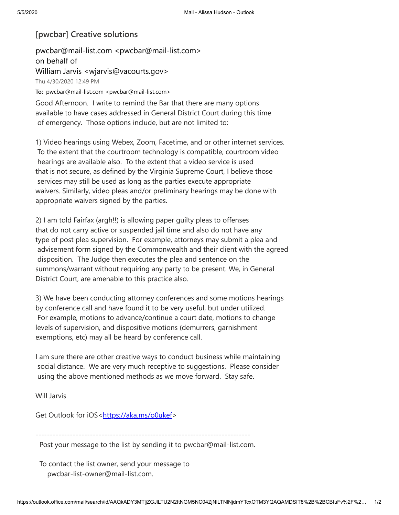## **[pwcbar] Creative solutions**

pwcbar@mail-list.com <pwcbar@mail-list.com> on behalf of William Jarvis <wjarvis@vacourts.gov> Thu 4/30/2020 12:49 PM To: pwcbar@mail-list.com <pwcbar@mail-list.com>

Good Afternoon. I write to remind the Bar that there are many options available to have cases addressed in General District Court during this time of emergency. Those options include, but are not limited to:

1) Video hearings using Webex, Zoom, Facetime, and or other internet services. To the extent that the courtroom technology is compatible, courtroom video hearings are available also. To the extent that a video service is used that is not secure, as defined by the Virginia Supreme Court, I believe those services may still be used as long as the parties execute appropriate waivers. Similarly, video pleas and/or preliminary hearings may be done with appropriate waivers signed by the parties.

2) I am told Fairfax (argh!!) is allowing paper guilty pleas to offenses that do not carry active or suspended jail time and also do not have any type of post plea supervision. For example, attorneys may submit a plea and advisement form signed by the Commonwealth and their client with the agreed disposition. The Judge then executes the plea and sentence on the summons/warrant without requiring any party to be present. We, in General District Court, are amenable to this practice also.

3) We have been conducting attorney conferences and some motions hearings by conference call and have found it to be very useful, but under utilized. For example, motions to advance/continue a court date, motions to change levels of supervision, and dispositive motions (demurrers, garnishment exemptions, etc) may all be heard by conference call.

I am sure there are other creative ways to conduct business while maintaining social distance. We are very much receptive to suggestions. Please consider using the above mentioned methods as we move forward. Stay safe.

Will Jarvis

Get Outlook for iOS<<https://aka.ms/o0ukef>>

---------------------------------------------------------------------------

Post your message to the list by sending it to pwcbar@mail-list.com.

To contact the list owner, send your message to pwcbar-list-owner@mail-list.com.